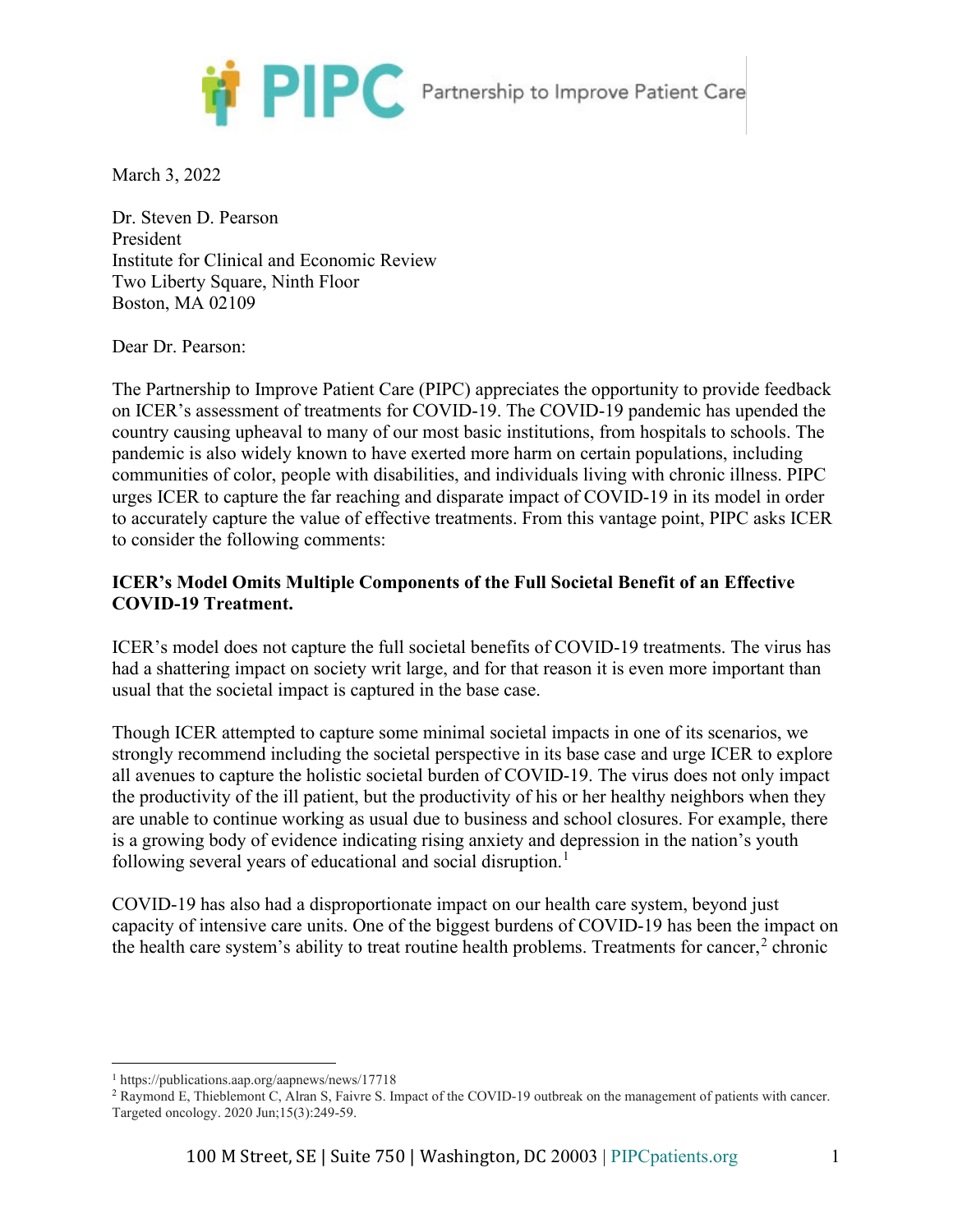

March 3, 2022

Dr. Steven D. Pearson President Institute for Clinical and Economic Review Two Liberty Square, Ninth Floor Boston, MA 02109

Dear Dr. Pearson:

The Partnership to Improve Patient Care (PIPC) appreciates the opportunity to provide feedback on ICER's assessment of treatments for COVID-19. The COVID-19 pandemic has upended the country causing upheaval to many of our most basic institutions, from hospitals to schools. The pandemic is also widely known to have exerted more harm on certain populations, including communities of color, people with disabilities, and individuals living with chronic illness. PIPC urges ICER to capture the far reaching and disparate impact of COVID-19 in its model in order to accurately capture the value of effective treatments. From this vantage point, PIPC asks ICER to consider the following comments:

# **ICER's Model Omits Multiple Components of the Full Societal Benefit of an Effective COVID-19 Treatment.**

ICER's model does not capture the full societal benefits of COVID-19 treatments. The virus has had a shattering impact on society writ large, and for that reason it is even more important than usual that the societal impact is captured in the base case.

Though ICER attempted to capture some minimal societal impacts in one of its scenarios, we strongly recommend including the societal perspective in its base case and urge ICER to explore all avenues to capture the holistic societal burden of COVID-19. The virus does not only impact the productivity of the ill patient, but the productivity of his or her healthy neighbors when they are unable to continue working as usual due to business and school closures. For example, there is a growing body of evidence indicating rising anxiety and depression in the nation's youth following several years of educational and social disruption.<sup>[1](#page-0-0)</sup>

COVID-19 has also had a disproportionate impact on our health care system, beyond just capacity of intensive care units. One of the biggest burdens of COVID-19 has been the impact on the health care system's ability to treat routine health problems. Treatments for cancer,  $2$  chronic

<span id="page-0-0"></span><sup>1</sup> https://publications.aap.org/aapnews/news/17718

<span id="page-0-1"></span><sup>2</sup> Raymond E, Thieblemont C, Alran S, Faivre S. Impact of the COVID-19 outbreak on the management of patients with cancer. Targeted oncology. 2020 Jun;15(3):249-59.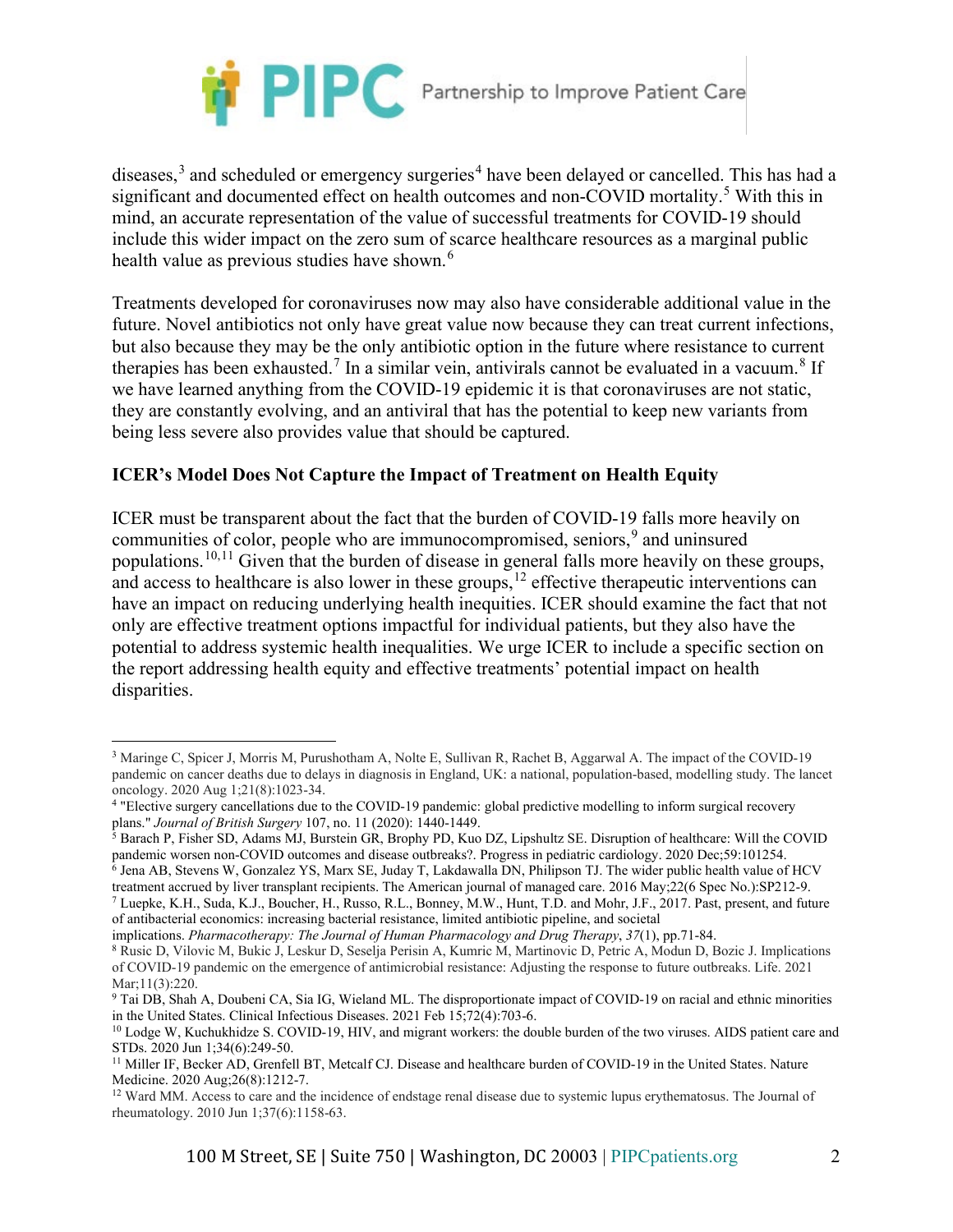

diseases, $3$  and scheduled or emergency surgeries<sup>[4](#page-1-1)</sup> have been delayed or cancelled. This has had a significant and documented effect on health outcomes and non-COVID mortality.<sup>[5](#page-1-2)</sup> With this in mind, an accurate representation of the value of successful treatments for COVID-19 should include this wider impact on the zero sum of scarce healthcare resources as a marginal public health value as previous studies have shown.<sup>[6](#page-1-3)</sup>

Treatments developed for coronaviruses now may also have considerable additional value in the future. Novel antibiotics not only have great value now because they can treat current infections, but also because they may be the only antibiotic option in the future where resistance to current therapies has been exhausted.<sup>[7](#page-1-4)</sup> In a similar vein, antivirals cannot be evaluated in a vacuum.<sup>[8](#page-1-5)</sup> If we have learned anything from the COVID-19 epidemic it is that coronaviruses are not static, they are constantly evolving, and an antiviral that has the potential to keep new variants from being less severe also provides value that should be captured.

# **ICER's Model Does Not Capture the Impact of Treatment on Health Equity**

ICER must be transparent about the fact that the burden of COVID-19 falls more heavily on communities of color, people who are immunocompromised, seniors,<sup>[9](#page-1-6)</sup> and uninsured populations.[10,](#page-1-7)[11](#page-1-8) Given that the burden of disease in general falls more heavily on these groups, and access to healthcare is also lower in these groups,  $12$  effective therapeutic interventions can have an impact on reducing underlying health inequities. ICER should examine the fact that not only are effective treatment options impactful for individual patients, but they also have the potential to address systemic health inequalities. We urge ICER to include a specific section on the report addressing health equity and effective treatments' potential impact on health disparities.

<span id="page-1-3"></span>treatment accrued by liver transplant recipients. The American journal of managed care. 2016 May;22(6 Spec No.):SP212-9.

<span id="page-1-0"></span><sup>3</sup> Maringe C, Spicer J, Morris M, Purushotham A, Nolte E, Sullivan R, Rachet B, Aggarwal A. The impact of the COVID-19 pandemic on cancer deaths due to delays in diagnosis in England, UK: a national, population-based, modelling study. The lancet oncology. 2020 Aug 1;21(8):1023-34.

<span id="page-1-1"></span><sup>4</sup> "Elective surgery cancellations due to the COVID-19 pandemic: global predictive modelling to inform surgical recovery plans." *Journal of British Surgery* 107, no. 11 (2020): 1440-1449.

<span id="page-1-2"></span><sup>&</sup>lt;sup>5</sup> Barach P, Fisher SD, Adams MJ, Burstein GR, Brophy PD, Kuo DZ, Lipshultz SE. Disruption of healthcare: Will the COVID pandemic worsen non-COVID outcomes and disease outbreaks?. Progress in pediatric cardiology. 2020 Dec;59:101254. <sup>6</sup> Jena AB, Stevens W, Gonzalez YS, Marx SE, Juday T, Lakdawalla DN, Philipson TJ. The wider public health value of HCV

<span id="page-1-4"></span><sup>7</sup> Luepke, K.H., Suda, K.J., Boucher, H., Russo, R.L., Bonney, M.W., Hunt, T.D. and Mohr, J.F., 2017. Past, present, and future of antibacterial economics: increasing bacterial resistance, limited antibiotic pipeline, and societal

implications. *Pharmacotherapy: The Journal of Human Pharmacology and Drug Therapy*, *37*(1), pp.71-84.

<span id="page-1-5"></span><sup>8</sup> Rusic D, Vilovic M, Bukic J, Leskur D, Seselja Perisin A, Kumric M, Martinovic D, Petric A, Modun D, Bozic J. Implications of COVID-19 pandemic on the emergence of antimicrobial resistance: Adjusting the response to future outbreaks. Life. 2021 Mar;11(3):220.

<span id="page-1-6"></span><sup>9</sup> Tai DB, Shah A, Doubeni CA, Sia IG, Wieland ML. The disproportionate impact of COVID-19 on racial and ethnic minorities in the United States. Clinical Infectious Diseases. 2021 Feb 15;72(4):703-6.

<span id="page-1-7"></span><sup>&</sup>lt;sup>10</sup> Lodge W, Kuchukhidze S. COVID-19, HIV, and migrant workers: the double burden of the two viruses. AIDS patient care and STDs. 2020 Jun 1;34(6):249-50.

<span id="page-1-8"></span><sup>11</sup> Miller IF, Becker AD, Grenfell BT, Metcalf CJ. Disease and healthcare burden of COVID-19 in the United States. Nature Medicine. 2020 Aug;26(8):1212-7.

<span id="page-1-9"></span><sup>&</sup>lt;sup>12</sup> Ward MM. Access to care and the incidence of endstage renal disease due to systemic lupus erythematosus. The Journal of rheumatology. 2010 Jun 1;37(6):1158-63.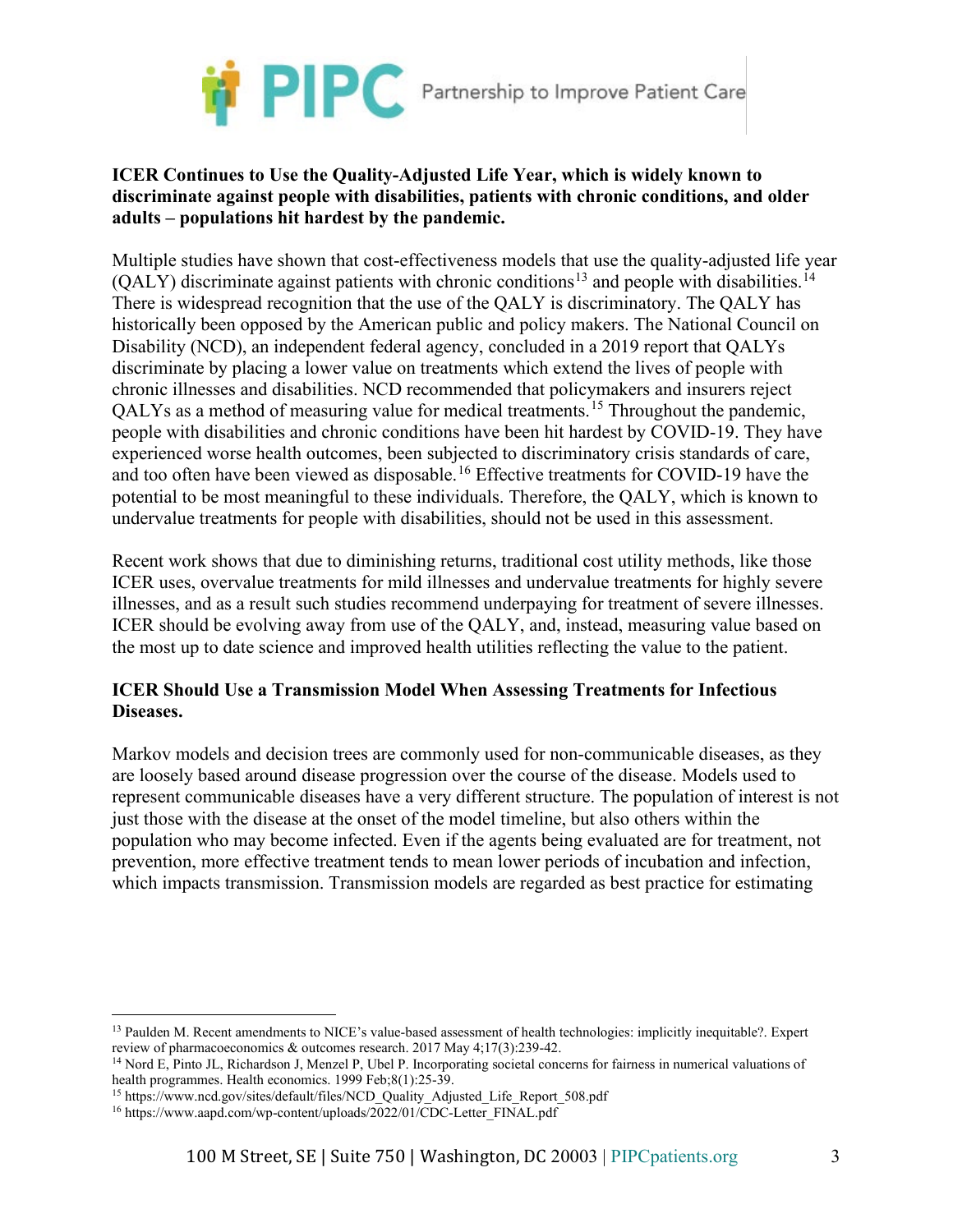

### **ICER Continues to Use the Quality-Adjusted Life Year, which is widely known to discriminate against people with disabilities, patients with chronic conditions, and older adults – populations hit hardest by the pandemic.**

Multiple studies have shown that cost-effectiveness models that use the quality-adjusted life year (QALY) discriminate against patients with chronic conditions<sup>[13](#page-2-0)</sup> and people with disabilities.<sup>[14](#page-2-1)</sup> There is widespread recognition that the use of the QALY is discriminatory. The QALY has historically been opposed by the American public and policy makers. The National Council on Disability (NCD), an independent federal agency, concluded in a 2019 report that QALYs discriminate by placing a lower value on treatments which extend the lives of people with chronic illnesses and disabilities. NCD recommended that policymakers and insurers reject QALYs as a method of measuring value for medical treatments.[15](#page-2-2) Throughout the pandemic, people with disabilities and chronic conditions have been hit hardest by COVID-19. They have experienced worse health outcomes, been subjected to discriminatory crisis standards of care, and too often have been viewed as disposable.<sup>[16](#page-2-3)</sup> Effective treatments for COVID-19 have the potential to be most meaningful to these individuals. Therefore, the QALY, which is known to undervalue treatments for people with disabilities, should not be used in this assessment.

Recent work shows that due to diminishing returns, traditional cost utility methods, like those ICER uses, overvalue treatments for mild illnesses and undervalue treatments for highly severe illnesses, and as a result such studies recommend underpaying for treatment of severe illnesses. ICER should be evolving away from use of the QALY, and, instead, measuring value based on the most up to date science and improved health utilities reflecting the value to the patient.

# **ICER Should Use a Transmission Model When Assessing Treatments for Infectious Diseases.**

Markov models and decision trees are commonly used for non-communicable diseases, as they are loosely based around disease progression over the course of the disease. Models used to represent communicable diseases have a very different structure. The population of interest is not just those with the disease at the onset of the model timeline, but also others within the population who may become infected. Even if the agents being evaluated are for treatment, not prevention, more effective treatment tends to mean lower periods of incubation and infection, which impacts transmission. Transmission models are regarded as best practice for estimating

<span id="page-2-0"></span><sup>13</sup> Paulden M. Recent amendments to NICE's value-based assessment of health technologies: implicitly inequitable?. Expert review of pharmacoeconomics & outcomes research. 2017 May 4;17(3):239-42.

<span id="page-2-1"></span><sup>14</sup> Nord E, Pinto JL, Richardson J, Menzel P, Ubel P. Incorporating societal concerns for fairness in numerical valuations of health programmes. Health economics. 1999 Feb;8(1):25-39.

<span id="page-2-2"></span><sup>&</sup>lt;sup>15</sup> https://www.ncd.gov/sites/default/files/NCD\_Quality\_Adjusted\_Life\_Report\_508.pdf <sup>16</sup> https://www.aapd.com/wp-content/uploads/2022/01/CDC-Letter\_FINAL.pdf

<span id="page-2-3"></span>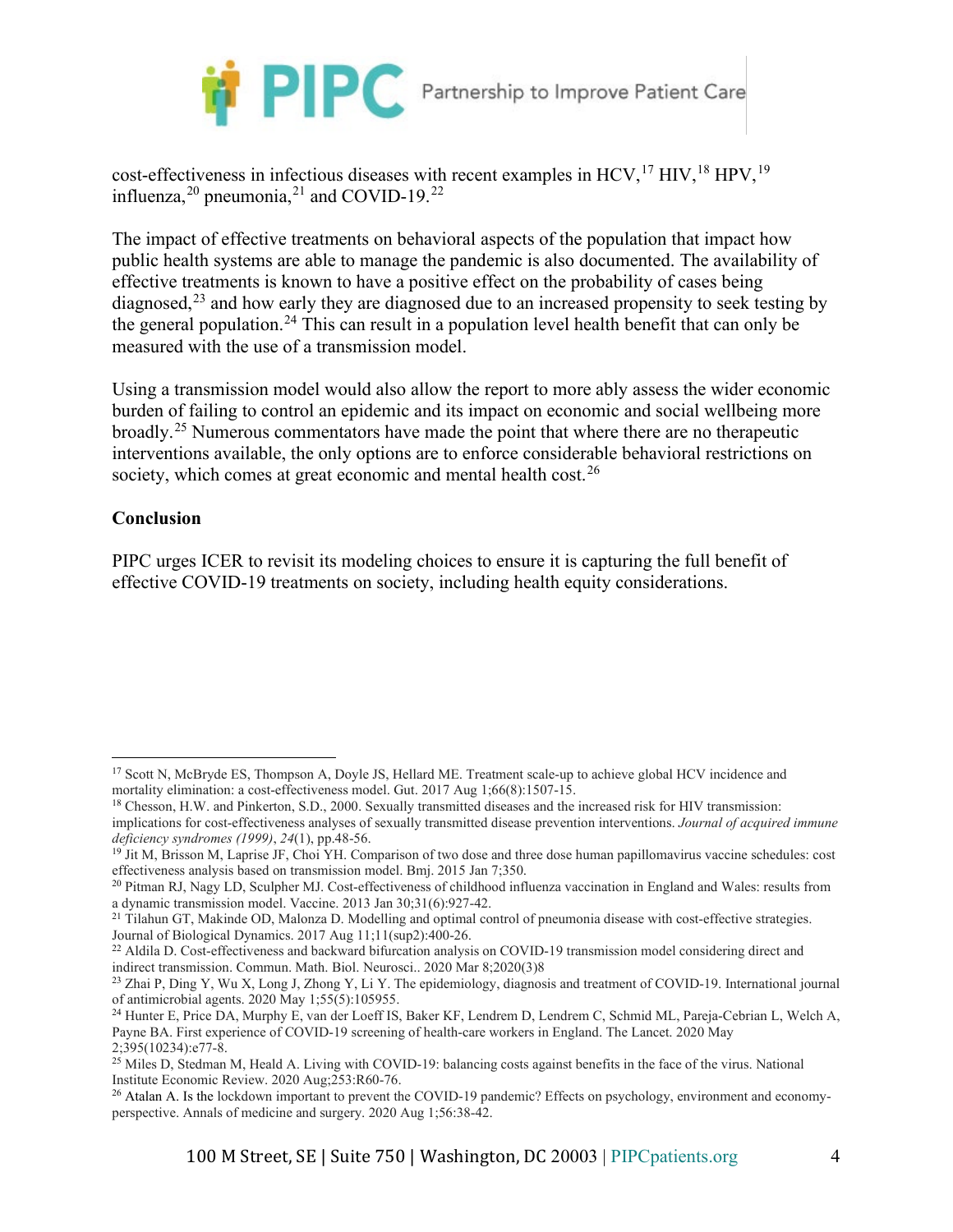

cost-effectiveness in infectious diseases with recent examples in HCV,<sup>[17](#page-3-0)</sup> HIV,<sup>[18](#page-3-1)</sup> HPV,<sup>[19](#page-3-2)</sup> influenza,  $^{20}$  $^{20}$  $^{20}$  pneumonia,  $^{21}$  $^{21}$  $^{21}$  and COVID-19.<sup>[22](#page-3-5)</sup>

The impact of effective treatments on behavioral aspects of the population that impact how public health systems are able to manage the pandemic is also documented. The availability of effective treatments is known to have a positive effect on the probability of cases being diagnosed,  $^{23}$  $^{23}$  $^{23}$  and how early they are diagnosed due to an increased propensity to seek testing by the general population.[24](#page-3-7) This can result in a population level health benefit that can only be measured with the use of a transmission model.

Using a transmission model would also allow the report to more ably assess the wider economic burden of failing to control an epidemic and its impact on economic and social wellbeing more broadly.<sup>[25](#page-3-8)</sup> Numerous commentators have made the point that where there are no therapeutic interventions available, the only options are to enforce considerable behavioral restrictions on society, which comes at great economic and mental health cost.<sup>[26](#page-3-9)</sup>

#### **Conclusion**

PIPC urges ICER to revisit its modeling choices to ensure it is capturing the full benefit of effective COVID-19 treatments on society, including health equity considerations.

<span id="page-3-0"></span><sup>17</sup> Scott N, McBryde ES, Thompson A, Doyle JS, Hellard ME. Treatment scale-up to achieve global HCV incidence and mortality elimination: a cost-effectiveness model. Gut. 2017 Aug 1;66(8):1507-15.

<span id="page-3-1"></span><sup>18</sup> Chesson, H.W. and Pinkerton, S.D., 2000. Sexually transmitted diseases and the increased risk for HIV transmission: implications for cost-effectiveness analyses of sexually transmitted disease prevention interventions. *Journal of acquired immune deficiency syndromes (1999)*, *24*(1), pp.48-56.

<span id="page-3-2"></span><sup>&</sup>lt;sup>19</sup> Jit M, Brisson M, Laprise JF, Choi YH. Comparison of two dose and three dose human papillomavirus vaccine schedules: cost effectiveness analysis based on transmission model. Bmj. 2015 Jan 7;350.

<span id="page-3-3"></span><sup>&</sup>lt;sup>20</sup> Pitman RJ, Nagy LD, Sculpher MJ. Cost-effectiveness of childhood influenza vaccination in England and Wales: results from a dynamic transmission model. Vaccine. 2013 Jan 30;31(6):927-42.

<span id="page-3-4"></span><sup>&</sup>lt;sup>21</sup> Tilahun GT, Makinde OD, Malonza D. Modelling and optimal control of pneumonia disease with cost-effective strategies. Journal of Biological Dynamics. 2017 Aug 11;11(sup2):400-26.

<span id="page-3-5"></span><sup>&</sup>lt;sup>22</sup> Aldila D. Cost-effectiveness and backward bifurcation analysis on COVID-19 transmission model considering direct and indirect transmission. Commun. Math. Biol. Neurosci.. 2020 Mar 8;2020(3)8

<span id="page-3-6"></span><sup>&</sup>lt;sup>23</sup> Zhai P, Ding Y, Wu X, Long J, Zhong Y, Li Y. The epidemiology, diagnosis and treatment of COVID-19. International journal of antimicrobial agents. 2020 May 1;55(5):105955.

<span id="page-3-7"></span><sup>24</sup> Hunter E, Price DA, Murphy E, van der Loeff IS, Baker KF, Lendrem D, Lendrem C, Schmid ML, Pareja-Cebrian L, Welch A, Payne BA. First experience of COVID-19 screening of health-care workers in England. The Lancet. 2020 May 2;395(10234):e77-8.

<span id="page-3-8"></span><sup>&</sup>lt;sup>25</sup> Miles D, Stedman M, Heald A. Living with COVID-19: balancing costs against benefits in the face of the virus. National Institute Economic Review. 2020 Aug;253:R60-76.

<span id="page-3-9"></span><sup>&</sup>lt;sup>26</sup> Atalan A. Is the lockdown important to prevent the COVID-19 pandemic? Effects on psychology, environment and economyperspective. Annals of medicine and surgery. 2020 Aug 1;56:38-42.